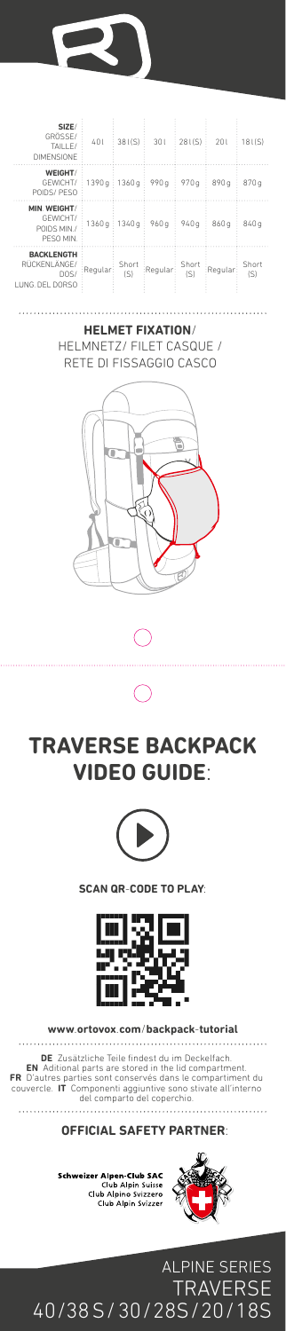

| SIZE/<br>GRÖSSE/<br>TAILLE/<br>DIMENSIONE                     | 401           | 381(S)       | 301     | 281(S)       | 201     | 181(S)           |
|---------------------------------------------------------------|---------------|--------------|---------|--------------|---------|------------------|
| WEIGHT/<br>GEWICHT/<br>POIDS/PESO                             | 1390q : 1360q |              | 990 g   | 970 g        | 890 a   | 870 g            |
| <b>MIN WEIGHT/</b><br>GFWICHT/<br>POIDS MIN /<br>PESO MIN.    | 1360a:        | 1340 a       | 960 g   | 940q         | 860 a   | 840 <sub>a</sub> |
| <b>BACKLENGTH</b><br>RÜCKENI ÄNGE/<br>DOS/<br>I UNG DEL DORSO | Regular       | Short<br>(S) | Regular | Short<br>(S) | Regular | Short<br>(S)     |

## **HELMET FIXATION**/ HELMNETZ/ FILET CASQUE / RETE DI FISSAGGIO CASCO









**SCAN QR-CODE TO PLAY:**



**www.ortovox.com/backpack-tutorial**

**DE Zusätzliche Teile findest du im Deckelfach.**<br>**EN Aditional parts are stored in the lid compartment.**<br>**FR D'autres parties sont conservés dans le compartment du couvercle. IT Componenti aggiuntive sons stivate all'inter** 

**OFFICIAL SAFETY PARTNER:**



**Schweizer Alpen-Club SAC**<br>Club Alpin Suisse<br>Club Alpino Svizzero<br>Club Alpin Svizzer

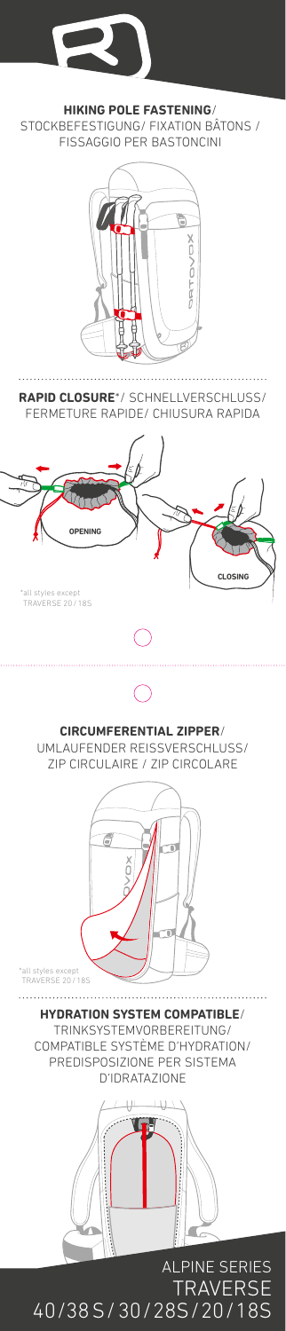

**HIKING POLE FASTENING**/ STOCKBEFESTIGUNG/ FIXATION BÂTONS / FISSAGGIO PER BASTONCINI



40/38 S/30/28S/20/18S